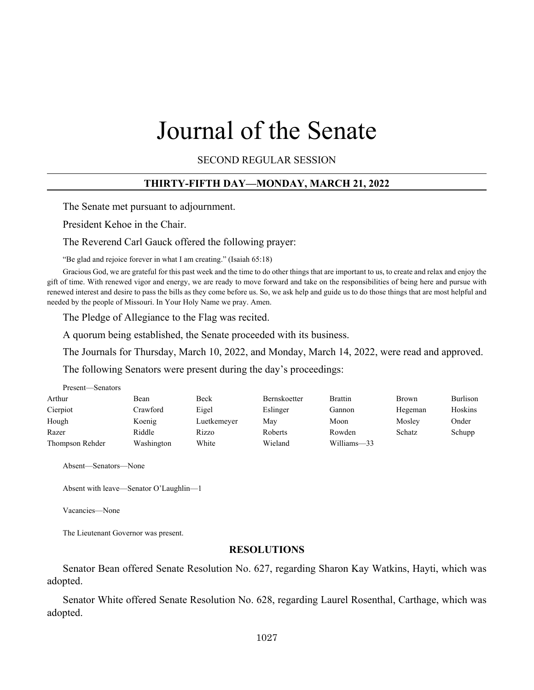# Journal of the Senate

SECOND REGULAR SESSION

#### **THIRTY-FIFTH DAY—MONDAY, MARCH 21, 2022**

The Senate met pursuant to adjournment.

President Kehoe in the Chair.

The Reverend Carl Gauck offered the following prayer:

"Be glad and rejoice forever in what I am creating." (Isaiah 65:18)

Gracious God, we are grateful for this past week and the time to do other things that are important to us, to create and relax and enjoy the gift of time. With renewed vigor and energy, we are ready to move forward and take on the responsibilities of being here and pursue with renewed interest and desire to pass the bills as they come before us. So, we ask help and guide us to do those things that are most helpful and needed by the people of Missouri. In Your Holy Name we pray. Amen.

The Pledge of Allegiance to the Flag was recited.

A quorum being established, the Senate proceeded with its business.

The Journals for Thursday, March 10, 2022, and Monday, March 14, 2022, were read and approved.

The following Senators were present during the day's proceedings:

| Present—Senators |            |             |              |                |         |          |
|------------------|------------|-------------|--------------|----------------|---------|----------|
| Arthur           | Bean       | Beck        | Bernskoetter | <b>Brattin</b> | Brown   | Burlison |
| Cierpiot         | Crawford   | Eigel       | Eslinger     | Gannon         | Hegeman | Hoskins  |
| Hough            | Koenig     | Luetkemeyer | May          | Moon           | Mosley  | Onder    |
| Razer            | Riddle     | Rizzo       | Roberts      | Rowden         | Schatz  | Schupp   |
| Thompson Rehder  | Washington | White       | Wieland      | Williams-33    |         |          |

Absent—Senators—None

Absent with leave—Senator O'Laughlin—1

Vacancies—None

The Lieutenant Governor was present.

#### **RESOLUTIONS**

Senator Bean offered Senate Resolution No. 627, regarding Sharon Kay Watkins, Hayti, which was adopted.

Senator White offered Senate Resolution No. 628, regarding Laurel Rosenthal, Carthage, which was adopted.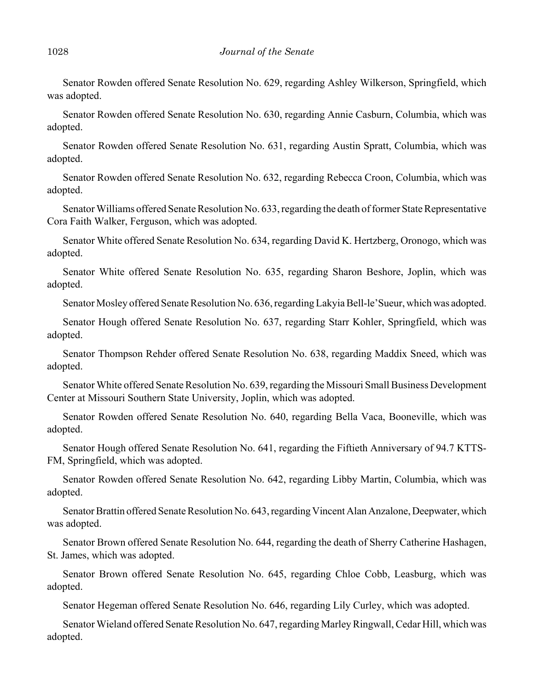Senator Rowden offered Senate Resolution No. 629, regarding Ashley Wilkerson, Springfield, which was adopted.

Senator Rowden offered Senate Resolution No. 630, regarding Annie Casburn, Columbia, which was adopted.

Senator Rowden offered Senate Resolution No. 631, regarding Austin Spratt, Columbia, which was adopted.

Senator Rowden offered Senate Resolution No. 632, regarding Rebecca Croon, Columbia, which was adopted.

Senator Williams offered Senate Resolution No. 633, regarding the death of former State Representative Cora Faith Walker, Ferguson, which was adopted.

Senator White offered Senate Resolution No. 634, regarding David K. Hertzberg, Oronogo, which was adopted.

Senator White offered Senate Resolution No. 635, regarding Sharon Beshore, Joplin, which was adopted.

Senator Mosley offered Senate Resolution No. 636, regarding Lakyia Bell-le'Sueur, which was adopted.

Senator Hough offered Senate Resolution No. 637, regarding Starr Kohler, Springfield, which was adopted.

Senator Thompson Rehder offered Senate Resolution No. 638, regarding Maddix Sneed, which was adopted.

Senator White offered Senate Resolution No. 639, regarding the Missouri Small Business Development Center at Missouri Southern State University, Joplin, which was adopted.

Senator Rowden offered Senate Resolution No. 640, regarding Bella Vaca, Booneville, which was adopted.

Senator Hough offered Senate Resolution No. 641, regarding the Fiftieth Anniversary of 94.7 KTTS-FM, Springfield, which was adopted.

Senator Rowden offered Senate Resolution No. 642, regarding Libby Martin, Columbia, which was adopted.

Senator Brattin offered Senate Resolution No. 643, regarding Vincent Alan Anzalone, Deepwater, which was adopted.

Senator Brown offered Senate Resolution No. 644, regarding the death of Sherry Catherine Hashagen, St. James, which was adopted.

Senator Brown offered Senate Resolution No. 645, regarding Chloe Cobb, Leasburg, which was adopted.

Senator Hegeman offered Senate Resolution No. 646, regarding Lily Curley, which was adopted.

Senator Wieland offered Senate Resolution No. 647, regarding Marley Ringwall, Cedar Hill, which was adopted.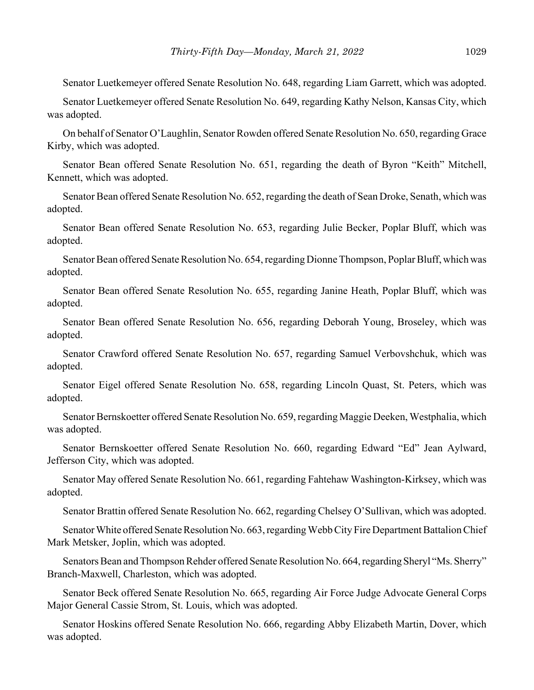Senator Luetkemeyer offered Senate Resolution No. 648, regarding Liam Garrett, which was adopted.

Senator Luetkemeyer offered Senate Resolution No. 649, regarding Kathy Nelson, Kansas City, which was adopted.

On behalf of Senator O'Laughlin, Senator Rowden offered Senate Resolution No. 650, regarding Grace Kirby, which was adopted.

Senator Bean offered Senate Resolution No. 651, regarding the death of Byron "Keith" Mitchell, Kennett, which was adopted.

Senator Bean offered Senate Resolution No. 652, regarding the death of Sean Droke, Senath, which was adopted.

Senator Bean offered Senate Resolution No. 653, regarding Julie Becker, Poplar Bluff, which was adopted.

Senator Bean offered Senate Resolution No. 654, regarding Dionne Thompson, Poplar Bluff, which was adopted.

Senator Bean offered Senate Resolution No. 655, regarding Janine Heath, Poplar Bluff, which was adopted.

Senator Bean offered Senate Resolution No. 656, regarding Deborah Young, Broseley, which was adopted.

Senator Crawford offered Senate Resolution No. 657, regarding Samuel Verbovshchuk, which was adopted.

Senator Eigel offered Senate Resolution No. 658, regarding Lincoln Quast, St. Peters, which was adopted.

Senator Bernskoetter offered Senate Resolution No. 659, regarding Maggie Deeken, Westphalia, which was adopted.

Senator Bernskoetter offered Senate Resolution No. 660, regarding Edward "Ed" Jean Aylward, Jefferson City, which was adopted.

Senator May offered Senate Resolution No. 661, regarding Fahtehaw Washington-Kirksey, which was adopted.

Senator Brattin offered Senate Resolution No. 662, regarding Chelsey O'Sullivan, which was adopted.

Senator White offered Senate Resolution No. 663, regarding Webb City Fire Department Battalion Chief Mark Metsker, Joplin, which was adopted.

Senators Bean and Thompson Rehder offered Senate Resolution No. 664, regarding Sheryl "Ms. Sherry" Branch-Maxwell, Charleston, which was adopted.

Senator Beck offered Senate Resolution No. 665, regarding Air Force Judge Advocate General Corps Major General Cassie Strom, St. Louis, which was adopted.

Senator Hoskins offered Senate Resolution No. 666, regarding Abby Elizabeth Martin, Dover, which was adopted.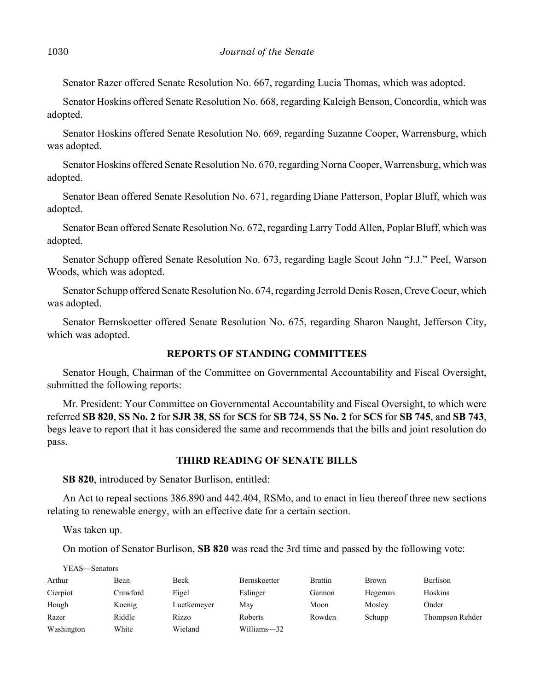Senator Razer offered Senate Resolution No. 667, regarding Lucia Thomas, which was adopted.

Senator Hoskins offered Senate Resolution No. 668, regarding Kaleigh Benson, Concordia, which was adopted.

Senator Hoskins offered Senate Resolution No. 669, regarding Suzanne Cooper, Warrensburg, which was adopted.

Senator Hoskins offered Senate Resolution No. 670, regarding Norna Cooper, Warrensburg, which was adopted.

Senator Bean offered Senate Resolution No. 671, regarding Diane Patterson, Poplar Bluff, which was adopted.

Senator Bean offered Senate Resolution No. 672, regarding Larry Todd Allen, Poplar Bluff, which was adopted.

Senator Schupp offered Senate Resolution No. 673, regarding Eagle Scout John "J.J." Peel, Warson Woods, which was adopted.

Senator Schupp offered Senate Resolution No. 674, regarding Jerrold Denis Rosen, Creve Coeur, which was adopted.

Senator Bernskoetter offered Senate Resolution No. 675, regarding Sharon Naught, Jefferson City, which was adopted.

# **REPORTS OF STANDING COMMITTEES**

Senator Hough, Chairman of the Committee on Governmental Accountability and Fiscal Oversight, submitted the following reports:

Mr. President: Your Committee on Governmental Accountability and Fiscal Oversight, to which were referred **SB 820**, **SS No. 2** for **SJR 38**, **SS** for **SCS** for **SB 724**, **SS No. 2** for **SCS** for **SB 745**, and **SB 743**, begs leave to report that it has considered the same and recommends that the bills and joint resolution do pass.

# **THIRD READING OF SENATE BILLS**

**SB 820**, introduced by Senator Burlison, entitled:

An Act to repeal sections 386.890 and 442.404, RSMo, and to enact in lieu thereof three new sections relating to renewable energy, with an effective date for a certain section.

Was taken up.

On motion of Senator Burlison, **SB 820** was read the 3rd time and passed by the following vote:

| YEAS—Senators |          |             |              |                |              |                 |
|---------------|----------|-------------|--------------|----------------|--------------|-----------------|
| Arthur        | Bean     | Beck        | Bernskoetter | <b>Brattin</b> | <b>Brown</b> | Burlison        |
| Cierpiot      | Crawford | Eigel       | Eslinger     | Gannon         | Hegeman      | Hoskins         |
| Hough         | Koenig   | Luetkemeyer | May          | Moon           | Mosley       | Onder           |
| Razer         | Riddle   | Rizzo       | Roberts      | Rowden         | Schupp       | Thompson Rehder |
| Washington    | White    | Wieland     | Williams-32  |                |              |                 |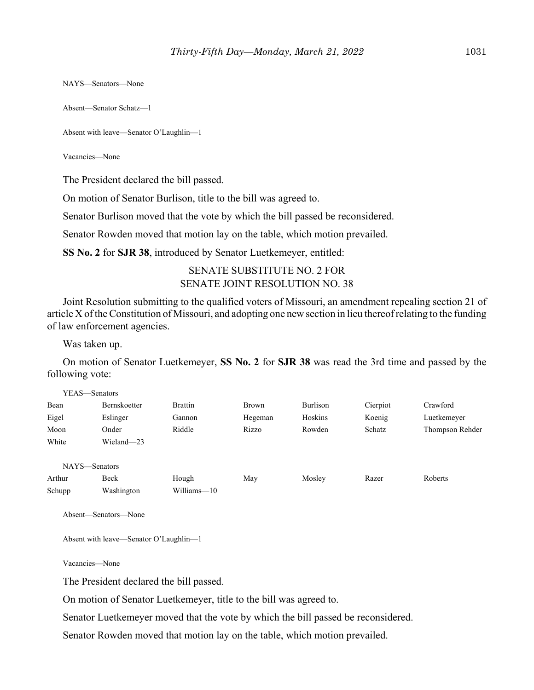NAYS—Senators—None

Absent—Senator Schatz—1

Absent with leave—Senator O'Laughlin—1

Vacancies—None

The President declared the bill passed.

On motion of Senator Burlison, title to the bill was agreed to.

Senator Burlison moved that the vote by which the bill passed be reconsidered.

Senator Rowden moved that motion lay on the table, which motion prevailed.

**SS No. 2** for **SJR 38**, introduced by Senator Luetkemeyer, entitled:

# SENATE SUBSTITUTE NO. 2 FOR SENATE JOINT RESOLUTION NO. 38

Joint Resolution submitting to the qualified voters of Missouri, an amendment repealing section 21 of article X of the Constitution of Missouri, and adopting one new section in lieu thereof relating to the funding of law enforcement agencies.

Was taken up.

On motion of Senator Luetkemeyer, **SS No. 2** for **SJR 38** was read the 3rd time and passed by the following vote:

| YEAS—Senators |              |                |         |          |          |                 |
|---------------|--------------|----------------|---------|----------|----------|-----------------|
| Bean          | Bernskoetter | <b>Brattin</b> | Brown   | Burlison | Cierpiot | Crawford        |
| Eigel         | Eslinger     | Gannon         | Hegeman | Hoskins  | Koenig   | Luetkemeyer     |
| Moon          | Onder        | Riddle         | Rizzo   | Rowden   | Schatz   | Thompson Rehder |
| White         | Wieland-23   |                |         |          |          |                 |
| NAYS-Senators |              |                |         |          |          |                 |
| Arthur        | Beck         | Hough          | May     | Mosley   | Razer    | Roberts         |
| Schupp        | Washington   | Williams—10    |         |          |          |                 |

Absent—Senators—None

Absent with leave—Senator O'Laughlin—1

Vacancies—None

The President declared the bill passed.

On motion of Senator Luetkemeyer, title to the bill was agreed to.

Senator Luetkemeyer moved that the vote by which the bill passed be reconsidered.

Senator Rowden moved that motion lay on the table, which motion prevailed.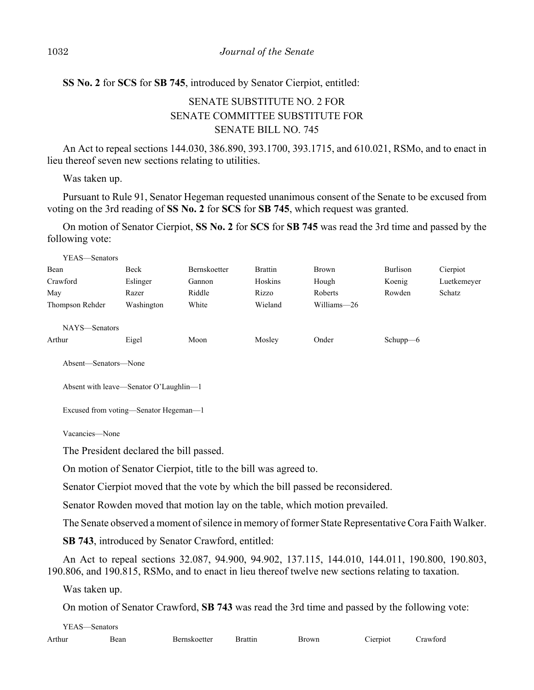# **SS No. 2** for **SCS** for **SB 745**, introduced by Senator Cierpiot, entitled:

# SENATE SUBSTITUTE NO. 2 FOR SENATE COMMITTEE SUBSTITUTE FOR SENATE BILL NO. 745

An Act to repeal sections 144.030, 386.890, 393.1700, 393.1715, and 610.021, RSMo, and to enact in lieu thereof seven new sections relating to utilities.

Was taken up.

Pursuant to Rule 91, Senator Hegeman requested unanimous consent of the Senate to be excused from voting on the 3rd reading of **SS No. 2** for **SCS** for **SB 745**, which request was granted.

On motion of Senator Cierpiot, **SS No. 2** for **SCS** for **SB 745** was read the 3rd time and passed by the following vote:

| YEAS—Senators   |            |                     |                |              |             |             |
|-----------------|------------|---------------------|----------------|--------------|-------------|-------------|
| Bean            | Beck       | <b>Bernskoetter</b> | <b>Brattin</b> | <b>Brown</b> | Burlison    | Cierpiot    |
| Crawford        | Eslinger   | Gannon              | Hoskins        | Hough        | Koenig      | Luetkemeyer |
| May             | Razer      | Riddle              | Rizzo          | Roberts      | Rowden      | Schatz      |
| Thompson Rehder | Washington | White               | Wieland        | Williams—26  |             |             |
| NAYS—Senators   |            |                     |                |              |             |             |
| Arthur          | Eigel      | Moon                | Mosley         | Onder        | Schupp $-6$ |             |
|                 |            |                     |                |              |             |             |

Absent—Senators—None

```
Absent with leave—Senator O'Laughlin—1
```

```
Excused from voting—Senator Hegeman—1
```
Vacancies—None

The President declared the bill passed.

On motion of Senator Cierpiot, title to the bill was agreed to.

Senator Cierpiot moved that the vote by which the bill passed be reconsidered.

Senator Rowden moved that motion lay on the table, which motion prevailed.

The Senate observed a moment of silence in memory of former State Representative Cora Faith Walker.

**SB 743**, introduced by Senator Crawford, entitled:

An Act to repeal sections 32.087, 94.900, 94.902, 137.115, 144.010, 144.011, 190.800, 190.803, 190.806, and 190.815, RSMo, and to enact in lieu thereof twelve new sections relating to taxation.

Was taken up.

On motion of Senator Crawford, **SB 743** was read the 3rd time and passed by the following vote:

YEAS—Senators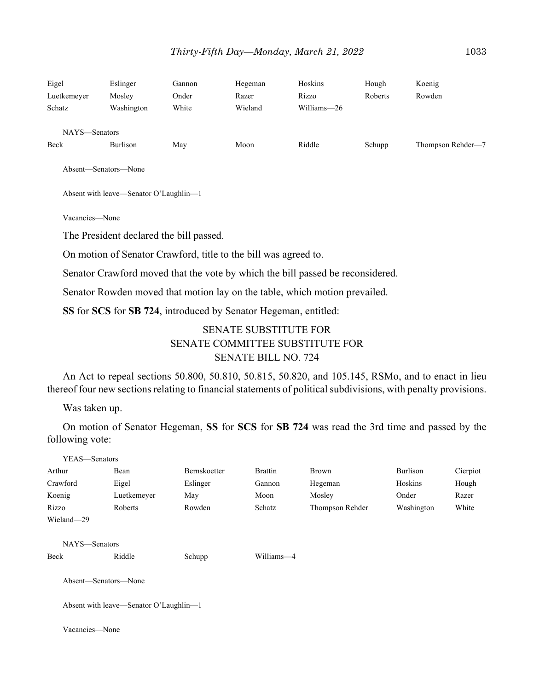| Eigel<br>Luetkemeyer<br>Schatz | Eslinger<br>Mosley<br>Washington | Gannon<br>Onder<br>White | Hegeman<br>Razer<br>Wieland | Hoskins<br>Rizzo<br>Williams-26 | Hough<br>Roberts | Koenig<br>Rowden  |
|--------------------------------|----------------------------------|--------------------------|-----------------------------|---------------------------------|------------------|-------------------|
| NAYS-Senators<br>Beck          | Burlison                         | May                      | Moon                        | Riddle                          | Schupp           | Thompson Rehder-7 |

Absent—Senators—None

Absent with leave—Senator O'Laughlin—1

Vacancies—None

The President declared the bill passed.

On motion of Senator Crawford, title to the bill was agreed to.

Senator Crawford moved that the vote by which the bill passed be reconsidered.

Senator Rowden moved that motion lay on the table, which motion prevailed.

**SS** for **SCS** for **SB 724**, introduced by Senator Hegeman, entitled:

# SENATE SUBSTITUTE FOR SENATE COMMITTEE SUBSTITUTE FOR SENATE BILL NO. 724

An Act to repeal sections 50.800, 50.810, 50.815, 50.820, and 105.145, RSMo, and to enact in lieu thereof four new sections relating to financial statements of political subdivisions, with penalty provisions.

Was taken up.

On motion of Senator Hegeman, **SS** for **SCS** for **SB 724** was read the 3rd time and passed by the following vote:

| YEAS—Senators        |                                        |              |                |                 |            |          |
|----------------------|----------------------------------------|--------------|----------------|-----------------|------------|----------|
| Arthur               | Bean                                   | Bernskoetter | <b>Brattin</b> | Brown           | Burlison   | Cierpiot |
| Crawford             | Eigel                                  | Eslinger     | Gannon         | Hegeman         | Hoskins    | Hough    |
| Koenig               | Luetkemeyer                            | May          | Moon           | Mosley          | Onder      | Razer    |
| Rizzo                | Roberts                                | Rowden       | Schatz         | Thompson Rehder | Washington | White    |
| Wieland-29           |                                        |              |                |                 |            |          |
| NAYS-Senators        |                                        |              |                |                 |            |          |
| Beck                 | Riddle                                 | Schupp       | Williams-4     |                 |            |          |
| Absent—Senators—None |                                        |              |                |                 |            |          |
|                      | Absent with leave—Senator O'Laughlin—1 |              |                |                 |            |          |
| Vacancies-None       |                                        |              |                |                 |            |          |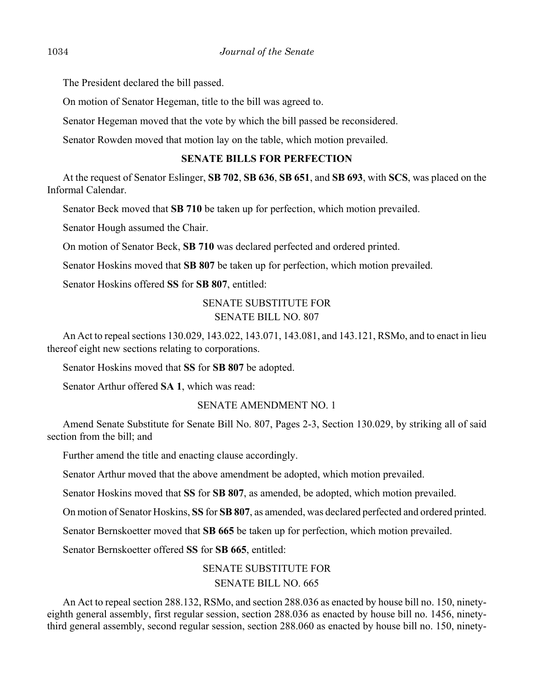The President declared the bill passed.

On motion of Senator Hegeman, title to the bill was agreed to.

Senator Hegeman moved that the vote by which the bill passed be reconsidered.

Senator Rowden moved that motion lay on the table, which motion prevailed.

## **SENATE BILLS FOR PERFECTION**

At the request of Senator Eslinger, **SB 702**, **SB 636**, **SB 651**, and **SB 693**, with **SCS**, was placed on the Informal Calendar.

Senator Beck moved that **SB 710** be taken up for perfection, which motion prevailed.

Senator Hough assumed the Chair.

On motion of Senator Beck, **SB 710** was declared perfected and ordered printed.

Senator Hoskins moved that **SB 807** be taken up for perfection, which motion prevailed.

Senator Hoskins offered **SS** for **SB 807**, entitled:

# SENATE SUBSTITUTE FOR SENATE BILL NO. 807

An Act to repeal sections 130.029, 143.022, 143.071, 143.081, and 143.121, RSMo, and to enact in lieu thereof eight new sections relating to corporations.

Senator Hoskins moved that **SS** for **SB 807** be adopted.

Senator Arthur offered **SA 1**, which was read:

#### SENATE AMENDMENT NO. 1

Amend Senate Substitute for Senate Bill No. 807, Pages 2-3, Section 130.029, by striking all of said section from the bill; and

Further amend the title and enacting clause accordingly.

Senator Arthur moved that the above amendment be adopted, which motion prevailed.

Senator Hoskins moved that **SS** for **SB 807**, as amended, be adopted, which motion prevailed.

On motion of Senator Hoskins, **SS** for **SB 807**, as amended, was declared perfected and ordered printed.

Senator Bernskoetter moved that **SB 665** be taken up for perfection, which motion prevailed.

Senator Bernskoetter offered **SS** for **SB 665**, entitled:

# SENATE SUBSTITUTE FOR SENATE BILL NO. 665

An Act to repeal section 288.132, RSMo, and section 288.036 as enacted by house bill no. 150, ninetyeighth general assembly, first regular session, section 288.036 as enacted by house bill no. 1456, ninetythird general assembly, second regular session, section 288.060 as enacted by house bill no. 150, ninety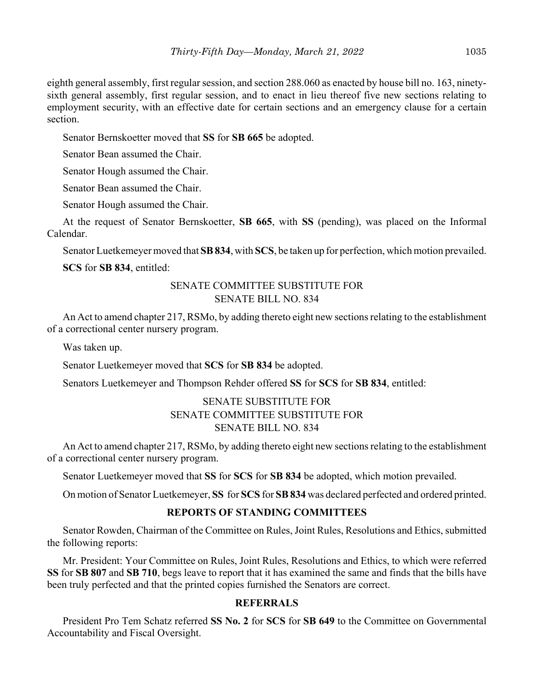eighth general assembly, first regular session, and section 288.060 as enacted by house bill no. 163, ninetysixth general assembly, first regular session, and to enact in lieu thereof five new sections relating to employment security, with an effective date for certain sections and an emergency clause for a certain section.

Senator Bernskoetter moved that **SS** for **SB 665** be adopted.

Senator Bean assumed the Chair.

Senator Hough assumed the Chair.

Senator Bean assumed the Chair.

Senator Hough assumed the Chair.

At the request of Senator Bernskoetter, **SB 665**, with **SS** (pending), was placed on the Informal Calendar.

Senator Luetkemeyer moved that **SB 834**, with **SCS**, be taken up for perfection, which motion prevailed.

**SCS** for **SB 834**, entitled:

## SENATE COMMITTEE SUBSTITUTE FOR SENATE BILL NO. 834

An Act to amend chapter 217, RSMo, by adding thereto eight new sections relating to the establishment of a correctional center nursery program.

Was taken up.

Senator Luetkemeyer moved that **SCS** for **SB 834** be adopted.

Senators Luetkemeyer and Thompson Rehder offered **SS** for **SCS** for **SB 834**, entitled:

# SENATE SUBSTITUTE FOR SENATE COMMITTEE SUBSTITUTE FOR SENATE BILL NO. 834

An Act to amend chapter 217, RSMo, by adding thereto eight new sections relating to the establishment of a correctional center nursery program.

Senator Luetkemeyer moved that **SS** for **SCS** for **SB 834** be adopted, which motion prevailed.

On motion of Senator Luetkemeyer, **SS** for **SCS** for **SB 834** was declared perfected and ordered printed.

# **REPORTS OF STANDING COMMITTEES**

Senator Rowden, Chairman of the Committee on Rules, Joint Rules, Resolutions and Ethics, submitted the following reports:

Mr. President: Your Committee on Rules, Joint Rules, Resolutions and Ethics, to which were referred **SS** for **SB 807** and **SB 710**, begs leave to report that it has examined the same and finds that the bills have been truly perfected and that the printed copies furnished the Senators are correct.

#### **REFERRALS**

President Pro Tem Schatz referred **SS No. 2** for **SCS** for **SB 649** to the Committee on Governmental Accountability and Fiscal Oversight.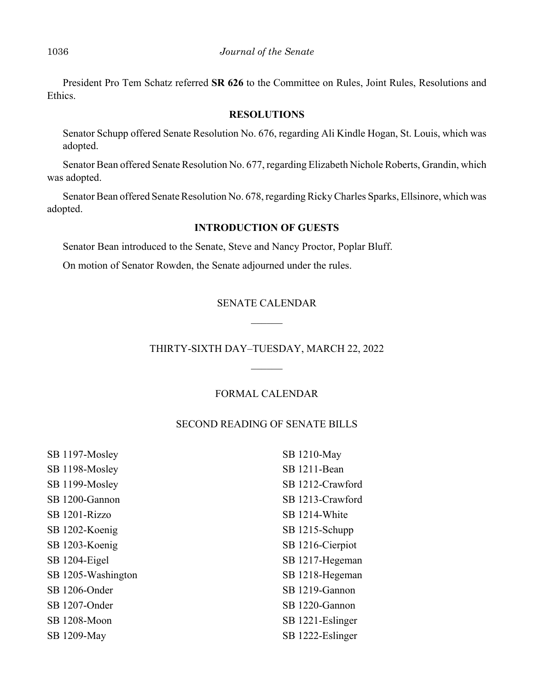President Pro Tem Schatz referred **SR 626** to the Committee on Rules, Joint Rules, Resolutions and Ethics.

#### **RESOLUTIONS**

Senator Schupp offered Senate Resolution No. 676, regarding Ali Kindle Hogan, St. Louis, which was adopted.

Senator Bean offered Senate Resolution No. 677, regarding Elizabeth Nichole Roberts, Grandin, which was adopted.

Senator Bean offered Senate Resolution No. 678, regarding Ricky Charles Sparks, Ellsinore, which was adopted.

#### **INTRODUCTION OF GUESTS**

Senator Bean introduced to the Senate, Steve and Nancy Proctor, Poplar Bluff.

On motion of Senator Rowden, the Senate adjourned under the rules.

# SENATE CALENDAR  $\mathcal{L}$

# THIRTY-SIXTH DAY–TUESDAY, MARCH 22, 2022

# FORMAL CALENDAR

#### SECOND READING OF SENATE BILLS

| SB 1197-Mosley     | SB 1210-May      |
|--------------------|------------------|
| SB 1198-Mosley     | SB 1211-Bean     |
| SB 1199-Mosley     | SB 1212-Crawford |
| SB 1200-Gannon     | SB 1213-Crawford |
| SB 1201-Rizzo      | SB 1214-White    |
| SB 1202-Koenig     | SB 1215-Schupp   |
| SB 1203-Koenig     | SB 1216-Cierpiot |
| SB 1204-Eigel      | SB 1217-Hegeman  |
| SB 1205-Washington | SB 1218-Hegeman  |
| SB 1206-Onder      | SB 1219-Gannon   |
| SB 1207-Onder      | SB 1220-Gannon   |
| SB 1208-Moon       | SB 1221-Eslinger |
| SB 1209-May        | SB 1222-Eslinger |
|                    |                  |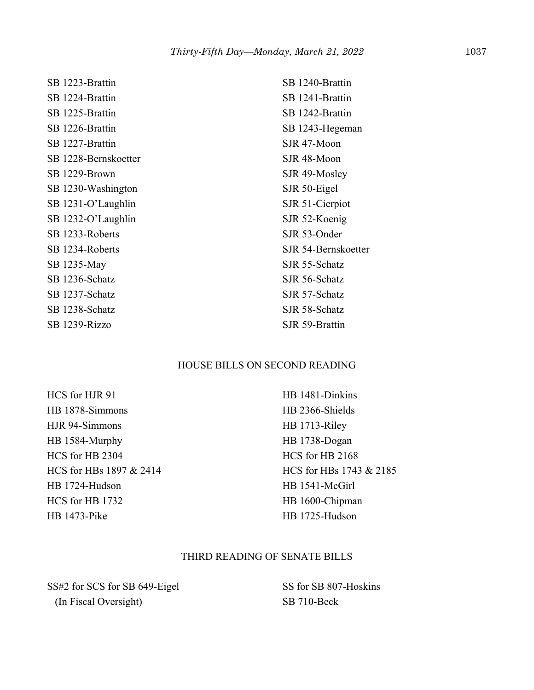SB 1223-Brattin SB 1224-Brattin SB 1225-Brattin SB 1226-Brattin SB 1227-Brattin SB 1228-Bernskoetter SB 1229-Brown SB 1230-Washington SB 1231-O'Laughlin SB 1232-O'Laughlin SB 1233-Roberts SB 1234-Roberts SB 1235-May SB 1236-Schatz SB 1237-Schatz SB 1238-Schatz SB 1239-Rizzo

SB 1240-Brattin SB 1241-Brattin SB 1242-Brattin SB 1243-Hegeman SJR 47-Moon SJR 48-Moon SJR 49-Mosley SJR 50-Eigel SJR 51-Cierpiot SJR 52-Koenig SJR 53-Onder SJR 54-Bernskoetter SJR 55-Schatz SJR 56-Schatz SJR 57-Schatz SJR 58-Schatz SJR 59-Brattin

#### HOUSE BILLS ON SECOND READING

HCS for HJR 91 HB 1878-Simmons HJR 94-Simmons HB 1584-Murphy HCS for HB 2304 HCS for HBs 1897 & 2414 HB 1724-Hudson HCS for HB 1732 HB 1473-Pike

HB 1481-Dinkins HB 2366-Shields HB 1713-Riley HB 1738-Dogan HCS for HB 2168 HCS for HBs 1743 & 2185 HB 1541-McGirl HB 1600-Chipman HB 1725-Hudson

# THIRD READING OF SENATE BILLS

SS#2 for SCS for SB 649-Eigel (In Fiscal Oversight)

SS for SB 807-Hoskins SB 710-Beck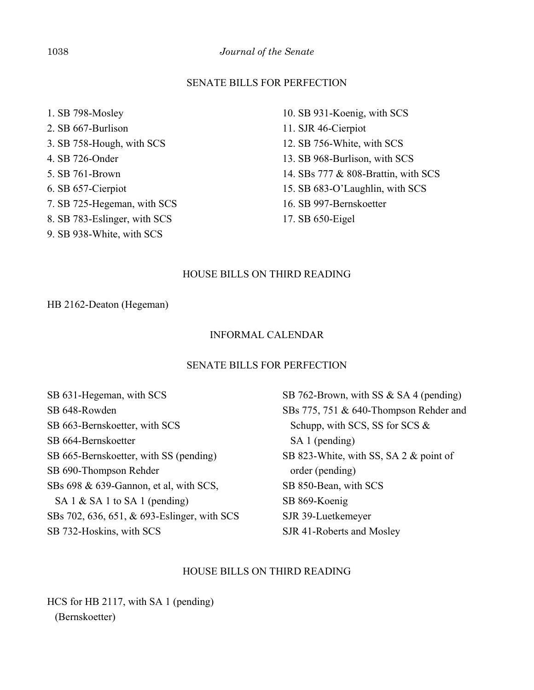#### SENATE BILLS FOR PERFECTION

- 1. SB 798-Mosley 2. SB 667-Burlison 3. SB 758-Hough, with SCS 4. SB 726-Onder 5. SB 761-Brown 6. SB 657-Cierpiot 7. SB 725-Hegeman, with SCS 8. SB 783-Eslinger, with SCS
- 9. SB 938-White, with SCS

10. SB 931-Koenig, with SCS 11. SJR 46-Cierpiot 12. SB 756-White, with SCS 13. SB 968-Burlison, with SCS 14. SBs 777 & 808-Brattin, with SCS 15. SB 683-O'Laughlin, with SCS 16. SB 997-Bernskoetter 17. SB 650-Eigel

#### HOUSE BILLS ON THIRD READING

#### HB 2162-Deaton (Hegeman)

#### INFORMAL CALENDAR

#### SENATE BILLS FOR PERFECTION

SB 631-Hegeman, with SCS SB 648-Rowden SB 663-Bernskoetter, with SCS SB 664-Bernskoetter SB 665-Bernskoetter, with SS (pending) SB 690-Thompson Rehder SBs 698 & 639-Gannon, et al, with SCS, SA 1 & SA 1 to SA 1 (pending) SBs 702, 636, 651, & 693-Eslinger, with SCS SB 732-Hoskins, with SCS

SB 762-Brown, with SS & SA 4 (pending) SBs 775, 751 & 640-Thompson Rehder and Schupp, with SCS, SS for SCS & SA 1 (pending) SB 823-White, with SS, SA 2 & point of order (pending) SB 850-Bean, with SCS SB 869-Koenig SJR 39-Luetkemeyer SJR 41-Roberts and Mosley

# HOUSE BILLS ON THIRD READING

HCS for HB 2117, with SA 1 (pending) (Bernskoetter)